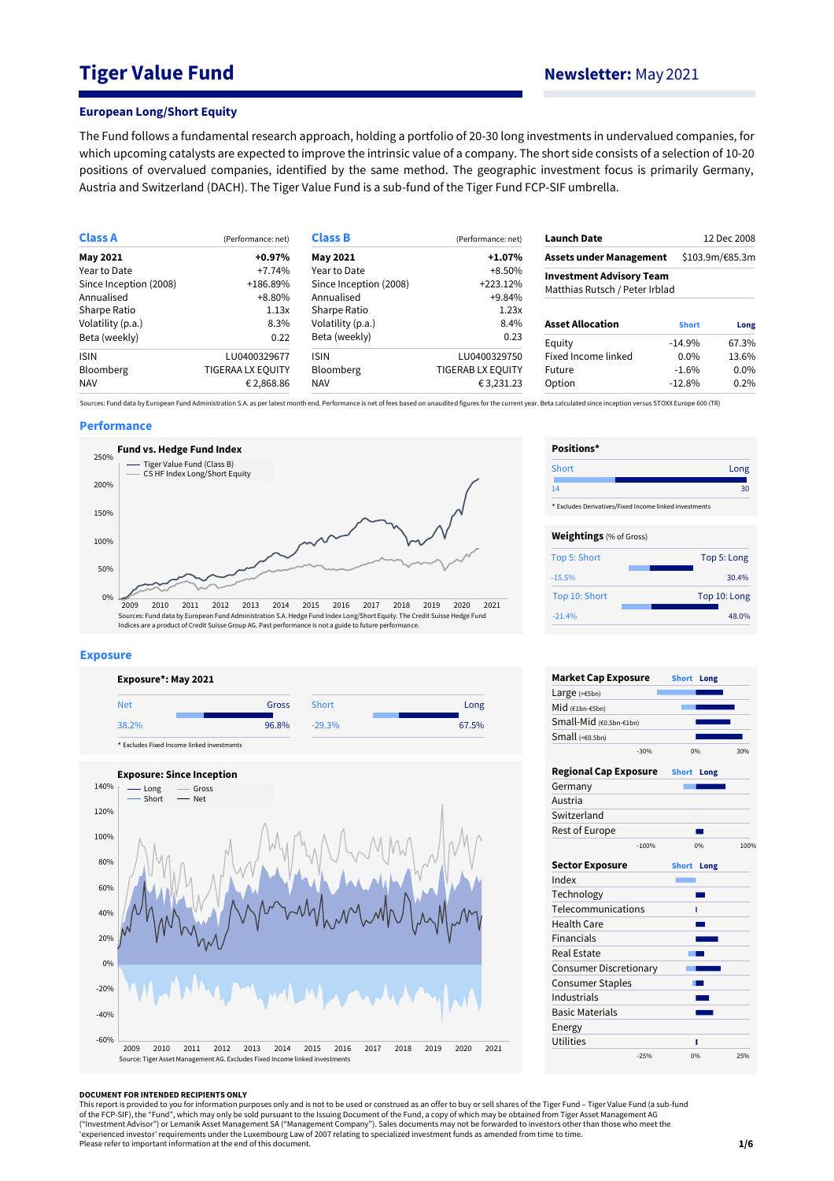# **Tiger Value Fund Newsletter:** May 2021

#### **European Long/Short Equity**

The Fund follows a fundamental research approach, holding a portfolio of 20-30 long investments in undervalued companies, for which upcoming catalysts are expected to improve the intrinsic value of a company. The short side consists of a selection of 10-20 positions of overvalued companies, identified by the same method. The geographic investment focus is primarily Germany, Austria and Switzerland (DACH). The Tiger Value Fund is a sub-fund of the Tiger Fund FCP-SIF umbrella.

| <b>Class A</b>         | (Performance: net) | <b>Class B</b>         | (Performance: net)                                                              | <b>Launch Date</b>             |              | 12 Dec 2008     |
|------------------------|--------------------|------------------------|---------------------------------------------------------------------------------|--------------------------------|--------------|-----------------|
| May 2021               | $+0.97%$           | +1.07%<br>May 2021     |                                                                                 | <b>Assets under Management</b> |              | \$103.9m/€85.3m |
| Year to Date           | $+7.74%$           | Year to Date           |                                                                                 |                                |              |                 |
| Since Inception (2008) | +186.89%           | Since Inception (2008) | <b>Investment Advisory Team</b><br>$+223.12%$<br>Matthias Rutsch / Peter Irblad |                                |              |                 |
| Annualised             | $+8.80%$           | Annualised             | $+9.84%$                                                                        |                                |              |                 |
| Sharpe Ratio           | 1.13x              | Sharpe Ratio           | 1.23x                                                                           |                                |              |                 |
| Volatility (p.a.)      | 8.3%               | Volatility (p.a.)      | 8.4%                                                                            | <b>Asset Allocation</b>        | <b>Short</b> | Long            |
| Beta (weekly)          | 0.22               | Beta (weekly)          | 0.23                                                                            | Equity                         | $-14.9\%$    | 67.3%           |
| <b>ISIN</b>            | LU0400329677       | <b>ISIN</b>            | LU0400329750                                                                    | Fixed Income linked            | $0.0\%$      | 13.6%           |
| <b>Bloomberg</b>       | TIGERAA LX EQUITY  | <b>Bloomberg</b>       | TIGERAB LX EQUITY                                                               | Future                         | $-1.6%$      | 0.0%            |
| <b>NAV</b>             | € 2,868.86         | <b>NAV</b>             | €3,231.23                                                                       | Option                         | $-12.8%$     | 0.2%            |

Sources: Fund data by European Fund Administration S.A. as per latest month end. Performance is net of fees based on unaudited figures for the current year. Beta calculated since inception versus STOXX Europe 600 (TR)

### **Performance**



#### **Exposure**





| Short                          | Long                                                   |
|--------------------------------|--------------------------------------------------------|
| 14                             | 30                                                     |
|                                | * Excludes Derivatives/Fixed Income linked investments |
| <b>Weightings</b> (% of Gross) |                                                        |
| Top 5: Short                   | Top 5: Long                                            |
| $-15.5%$                       | 30.4%                                                  |
| Top 10: Short                  | Top 10: Long                                           |
| $-21.4%$                       | 48.0%                                                  |

**Positions\***

| <b>Market Cap Exposure</b>    |         | <b>Short</b> | Long |      |
|-------------------------------|---------|--------------|------|------|
| Large (>€5bn)                 |         |              |      |      |
| Mid (€1bn-€5bn)               |         |              |      |      |
| Small-Mid (€0.5bn-€1bn)       |         |              |      |      |
| Small (<60.5bn)               |         |              |      |      |
|                               | $-30%$  |              | 0%   | 30%  |
| <b>Regional Cap Exposure</b>  |         | <b>Short</b> | Long |      |
| Germany                       |         |              |      |      |
| Austria                       |         |              |      |      |
| Switzerland                   |         |              |      |      |
| Rest of Europe                |         |              |      |      |
|                               | $-100%$ |              | 0%   | 100% |
| <b>Sector Exposure</b>        |         | <b>Short</b> | Long |      |
| Index                         |         |              |      |      |
| Technology                    |         |              |      |      |
| Telecommunications            |         |              | ı    |      |
| <b>Health Care</b>            |         |              |      |      |
| <b>Financials</b>             |         |              |      |      |
| Real Estate                   |         |              |      |      |
| <b>Consumer Discretionary</b> |         |              |      |      |
| <b>Consumer Staples</b>       |         |              |      |      |
| Industrials                   |         |              |      |      |
| <b>Basic Materials</b>        |         |              |      |      |
| Energy                        |         |              |      |      |
| <b>Utilities</b>              |         |              | п    |      |
|                               | $-25%$  |              | 0%   | 25%  |

#### **DOCUMENT FOR INTENDED RECIPIENTS ONLY**

This report is provided to you for information purposes only and is not to be used or construed as an offer to buy or sell shares of the Tiger Fund – Tiger Value Fund (a sub-fund<br>of the FCP-SIF), the "Fund", which may only ("Investment Advisor") or Lemanik Asset Management SA ("Management Company"). Sales documents may not be forwarded to investors other than those who meet the<br>'experienced investor' requirements under the Luxembourg Law of Please refer to important information at the end of this document.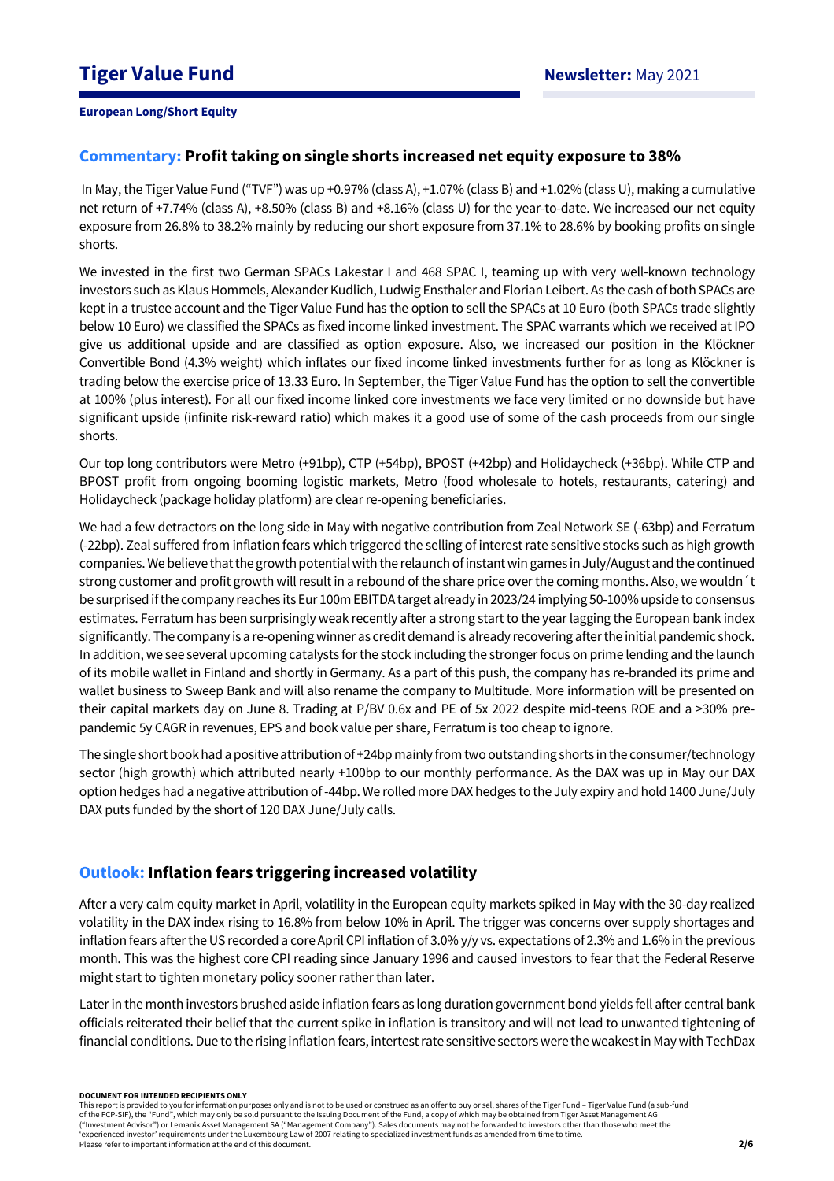## **Commentary: Profit taking on single shorts increased net equity exposure to 38%**

In May, the Tiger Value Fund ("TVF") was up +0.97% (class A), +1.07% (class B) and +1.02% (class U), making a cumulative net return of +7.74% (class A), +8.50% (class B) and +8.16% (class U) for the year-to-date. We increased our net equity exposure from 26.8% to 38.2% mainly by reducing our short exposure from 37.1% to 28.6% by booking profits on single shorts.

We invested in the first two German SPACs Lakestar I and 468 SPAC I, teaming up with very well-known technology investors such as Klaus Hommels, Alexander Kudlich, Ludwig Ensthaler and Florian Leibert. As the cash of both SPACs are kept in a trustee account and the Tiger Value Fund has the option to sell the SPACs at 10 Euro (both SPACs trade slightly below 10 Euro) we classified the SPACs as fixed income linked investment. The SPAC warrants which we received at IPO give us additional upside and are classified as option exposure. Also, we increased our position in the Klöckner Convertible Bond (4.3% weight) which inflates our fixed income linked investments further for as long as Klöckner is trading below the exercise price of 13.33 Euro. In September, the Tiger Value Fund has the option to sell the convertible at 100% (plus interest). For all our fixed income linked core investments we face very limited or no downside but have significant upside (infinite risk-reward ratio) which makes it a good use of some of the cash proceeds from our single shorts.

Our top long contributors were Metro (+91bp), CTP (+54bp), BPOST (+42bp) and Holidaycheck (+36bp). While CTP and BPOST profit from ongoing booming logistic markets, Metro (food wholesale to hotels, restaurants, catering) and Holidaycheck (package holiday platform) are clear re-opening beneficiaries.

We had a few detractors on the long side in May with negative contribution from Zeal Network SE (-63bp) and Ferratum (-22bp). Zeal suffered from inflation fears which triggered the selling of interest rate sensitive stocks such as high growth companies. We believe that the growth potential with the relaunch of instant win games in July/August and the continued strong customer and profit growth will result in a rebound of the share price over the coming months. Also, we wouldn´t be surprised if the company reaches its Eur 100m EBITDA target already in 2023/24 implying 50-100% upside to consensus estimates. Ferratum has been surprisingly weak recently after a strong start to the year lagging the European bank index significantly. The company is a re-opening winner as credit demand is already recovering after the initial pandemic shock. In addition, we see several upcoming catalysts for the stock including the stronger focus on prime lending and the launch of its mobile wallet in Finland and shortly in Germany. As a part of this push, the company has re-branded its prime and wallet business to Sweep Bank and will also rename the company to Multitude. More information will be presented on their capital markets day on June 8. Trading at P/BV 0.6x and PE of 5x 2022 despite mid-teens ROE and a >30% prepandemic 5y CAGR in revenues, EPS and book value per share, Ferratum is too cheap to ignore.

The single short book had a positive attribution of +24bp mainly from two outstanding shorts in the consumer/technology sector (high growth) which attributed nearly +100bp to our monthly performance. As the DAX was up in May our DAX option hedges had a negative attribution of -44bp. We rolled more DAX hedges to the July expiry and hold 1400 June/July DAX puts funded by the short of 120 DAX June/July calls.

# **Outlook: Inflation fears triggering increased volatility**

After a very calm equity market in April, volatility in the European equity markets spiked in May with the 30-day realized volatility in the DAX index rising to 16.8% from below 10% in April. The trigger was concerns over supply shortages and inflation fears after the US recorded a core April CPI inflation of 3.0% y/y vs. expectations of 2.3% and 1.6% in the previous month. This was the highest core CPI reading since January 1996 and caused investors to fear that the Federal Reserve might start to tighten monetary policy sooner rather than later.

Later in the month investors brushed aside inflation fears as long duration government bond yields fell after central bank officials reiterated their belief that the current spike in inflation is transitory and will not lead to unwanted tightening of financial conditions. Due to the rising inflation fears, intertest rate sensitive sectors were the weakest in May with TechDax

#### **DOCUMENT FOR INTENDED RECIPIENTS ONLY**

This report is provided to you for information purposes only and is not to be used or construed as an offer to buy or sell shares of the Tiger Fund – Tiger Value Fund (a sub-fund of the FCP-SIF), the "Fund", which may only be sold pursuant to the Issuing Document of the Fund, a copy of which may be obtained from Tiger Asset Management AG ("Investment Advisor") or Lemanik Asset Management SA ("Management Company"). Sales documents may not be forwarded to investors other than those who meet the 'experienced investor' requirements under the Luxembourg Law of 2007 relating to specialized investment funds as amended from time to time. Please refer to important information at the end of this document.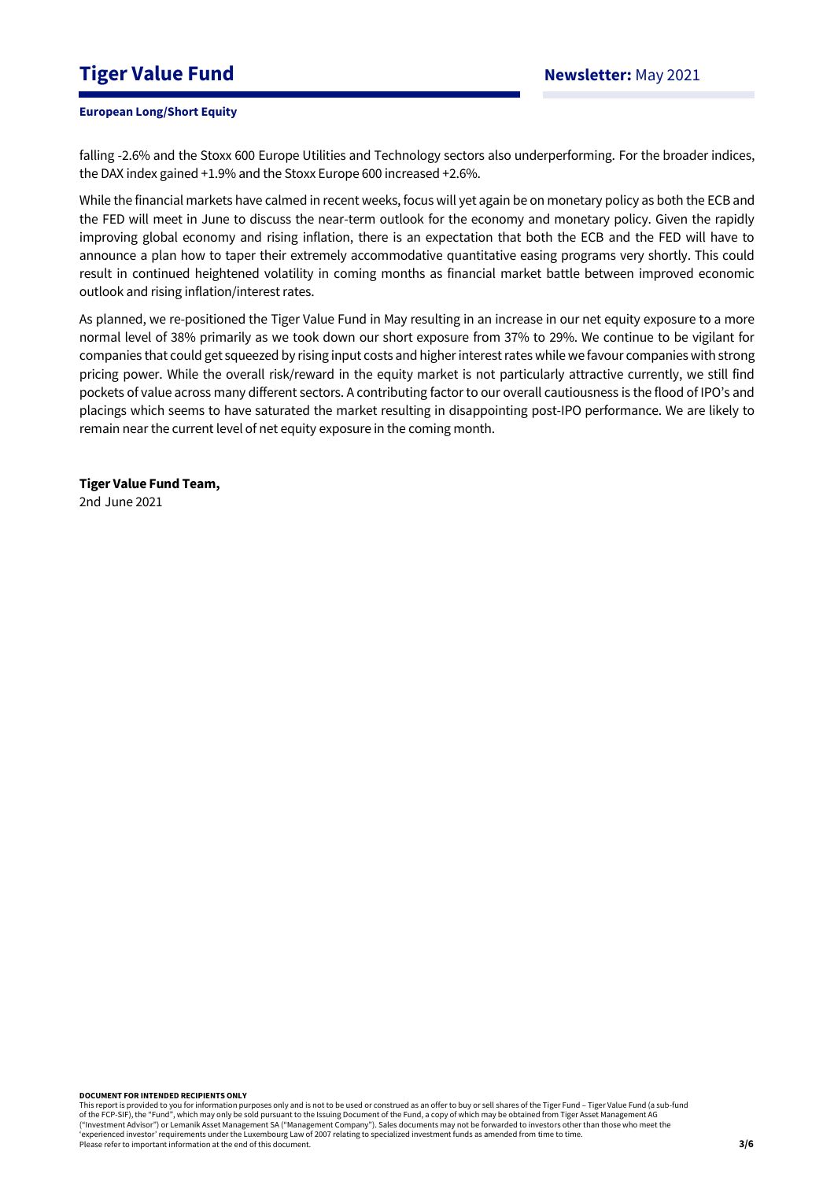# **Tiger Value Fund Newsletter:** May 2021

## **European Long/Short Equity**

falling -2.6% and the Stoxx 600 Europe Utilities and Technology sectors also underperforming. For the broader indices, the DAX index gained +1.9% and the Stoxx Europe 600 increased +2.6%.

While the financial markets have calmed in recent weeks, focus will yet again be on monetary policy as both the ECB and the FED will meet in June to discuss the near-term outlook for the economy and monetary policy. Given the rapidly improving global economy and rising inflation, there is an expectation that both the ECB and the FED will have to announce a plan how to taper their extremely accommodative quantitative easing programs very shortly. This could result in continued heightened volatility in coming months as financial market battle between improved economic outlook and rising inflation/interest rates.

As planned, we re-positioned the Tiger Value Fund in May resulting in an increase in our net equity exposure to a more normal level of 38% primarily as we took down our short exposure from 37% to 29%. We continue to be vigilant for companies that could get squeezed by rising input costs and higher interest rates while we favour companies with strong pricing power. While the overall risk/reward in the equity market is not particularly attractive currently, we still find pockets of value across many different sectors. A contributing factor to our overall cautiousness is the flood of IPO's and placings which seems to have saturated the market resulting in disappointing post-IPO performance. We are likely to remain near the current level of net equity exposure in the coming month.

**Tiger Value Fund Team,**  2nd June 2021

**DOCUMENT FOR INTENDED RECIPIENTS ONLY**

This report is provided to you for information purposes only and is not to be used or construed as an offer to buy or sell shares of the Tiger Fund – Tiger Value Fund (a sub-fund of the FCP-SIF), the "Fund", which may only be sold pursuant to the Issuing Document of the Fund, a copy of which may be obtained from Tiger Asset Management AG ("Investment Advisor") or Lemanik Asset Management SA ("Management Company"). Sales documents may not be forwarded to investors other than those who meet the 'experienced investor' requirements under the Luxembourg Law of 2007 relating to specialized investment funds as amended from time to time. Please refer to important information at the end of this document.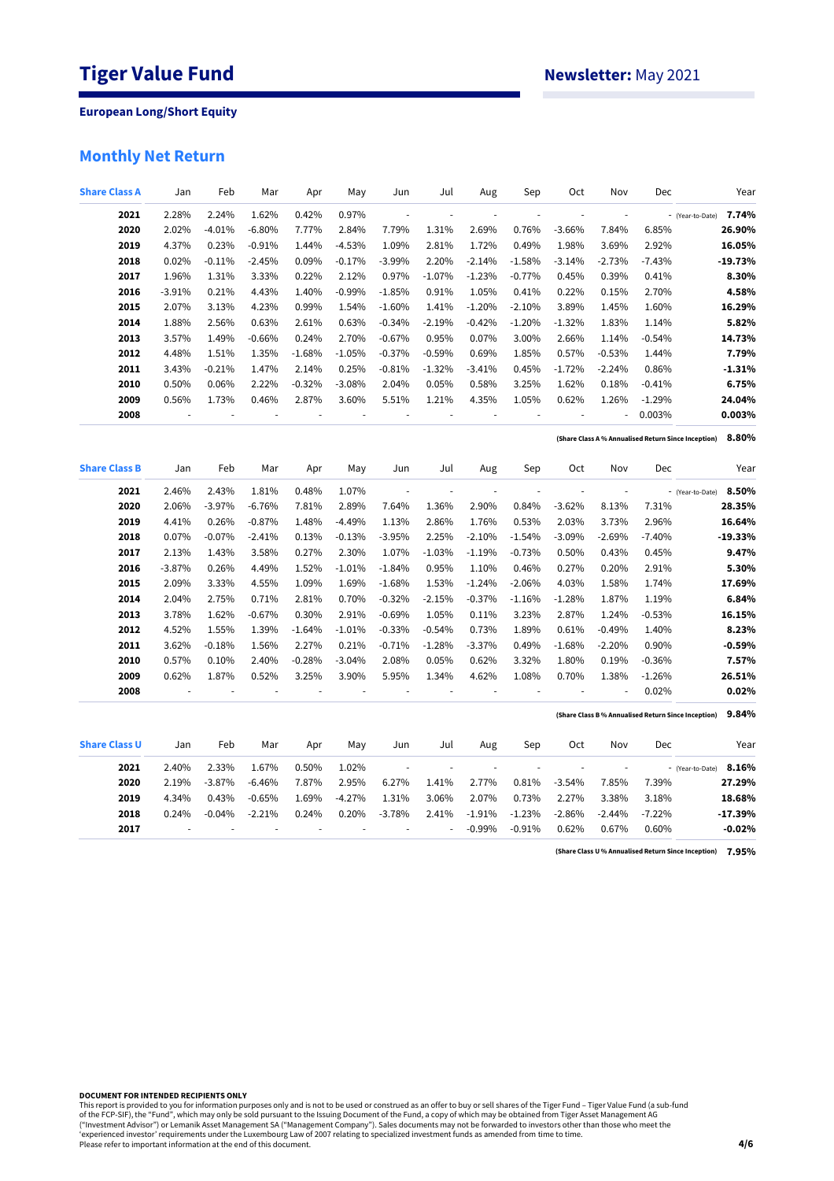# **Monthly Net Return**

| <b>Share Class A</b> | Jan      | Feb      | Mar      | Apr      | May      | Jun                      | Jul                      | Aug                      | Sep                      | <b>Oct</b>               | Nov                      | Dec      | Year                                                         |
|----------------------|----------|----------|----------|----------|----------|--------------------------|--------------------------|--------------------------|--------------------------|--------------------------|--------------------------|----------|--------------------------------------------------------------|
| 2021                 | 2.28%    | 2.24%    | 1.62%    | 0.42%    | 0.97%    | $\overline{\phantom{a}}$ | ł,                       | ÷,                       |                          | L.                       | L                        |          | 7.74%<br>- (Year-to-Date)                                    |
| 2020                 | 2.02%    | $-4.01%$ | $-6.80%$ | 7.77%    | 2.84%    | 7.79%                    | 1.31%                    | 2.69%                    | 0.76%                    | $-3.66%$                 | 7.84%                    | 6.85%    | 26.90%                                                       |
| 2019                 | 4.37%    | 0.23%    | $-0.91%$ | 1.44%    | $-4.53%$ | 1.09%                    | 2.81%                    | 1.72%                    | 0.49%                    | 1.98%                    | 3.69%                    | 2.92%    | 16.05%                                                       |
| 2018                 | 0.02%    | $-0.11%$ | $-2.45%$ | 0.09%    | $-0.17%$ | $-3.99%$                 | 2.20%                    | $-2.14%$                 | $-1.58%$                 | $-3.14%$                 | $-2.73%$                 | $-7.43%$ | $-19.73%$                                                    |
| 2017                 | 1.96%    | 1.31%    | 3.33%    | 0.22%    | 2.12%    | 0.97%                    | $-1.07\%$                | $-1.23%$                 | $-0.77%$                 | 0.45%                    | 0.39%                    | 0.41%    | 8.30%                                                        |
| 2016                 | $-3.91%$ | 0.21%    | 4.43%    | 1.40%    | $-0.99%$ | $-1.85%$                 | 0.91%                    | 1.05%                    | 0.41%                    | 0.22%                    | 0.15%                    | 2.70%    | 4.58%                                                        |
| 2015                 | 2.07%    | 3.13%    | 4.23%    | 0.99%    | 1.54%    | $-1.60%$                 | 1.41%                    | $-1.20%$                 | $-2.10%$                 | 3.89%                    | 1.45%                    | 1.60%    | 16.29%                                                       |
| 2014                 | 1.88%    | 2.56%    | 0.63%    | 2.61%    | 0.63%    | $-0.34%$                 | $-2.19%$                 | $-0.42%$                 | $-1.20%$                 | $-1.32%$                 | 1.83%                    | 1.14%    | 5.82%                                                        |
| 2013                 | 3.57%    | 1.49%    | $-0.66%$ | 0.24%    | 2.70%    | $-0.67%$                 | 0.95%                    | 0.07%                    | 3.00%                    | 2.66%                    | 1.14%                    | $-0.54%$ | 14.73%                                                       |
| 2012                 | 4.48%    | 1.51%    | 1.35%    | $-1.68%$ | $-1.05%$ | $-0.37%$                 | $-0.59%$                 | 0.69%                    | 1.85%                    | 0.57%                    | $-0.53%$                 | 1.44%    | 7.79%                                                        |
| 2011                 | 3.43%    | $-0.21%$ | 1.47%    | 2.14%    | 0.25%    | $-0.81%$                 | $-1.32%$                 | $-3.41%$                 | 0.45%                    | $-1.72%$                 | $-2.24%$                 | 0.86%    | $-1.31%$                                                     |
| 2010                 | 0.50%    | 0.06%    | 2.22%    | $-0.32%$ | $-3.08%$ | 2.04%                    | 0.05%                    | 0.58%                    | 3.25%                    | 1.62%                    | 0.18%                    | $-0.41%$ | 6.75%                                                        |
| 2009                 | 0.56%    | 1.73%    | 0.46%    | 2.87%    | 3.60%    | 5.51%                    | 1.21%                    | 4.35%                    | 1.05%                    | 0.62%                    | 1.26%                    | $-1.29%$ | 24.04%                                                       |
| 2008                 | ÷,       |          | ÷,       | ÷,       | ÷,       |                          | ÷,                       | ÷,                       | ł,                       | ÷,                       | ä,                       | 0.003%   | 0.003%                                                       |
|                      |          |          |          |          |          |                          |                          |                          |                          |                          |                          |          | 8.80%<br>(Share Class A % Annualised Return Since Inception) |
| <b>Share Class B</b> | Jan      | Feb      | Mar      | Apr      | May      | Jun                      | Jul                      | Aug                      | Sep                      | Oct                      | Nov                      | Dec      | Year                                                         |
| 2021                 | 2.46%    | 2.43%    | 1.81%    | 0.48%    | 1.07%    | $\overline{\phantom{a}}$ | ÷,                       | $\overline{\phantom{a}}$ |                          | $\overline{\phantom{a}}$ | $\overline{\phantom{a}}$ |          | 8.50%<br>- (Year-to-Date)                                    |
| 2020                 | 2.06%    | $-3.97%$ | $-6.76%$ | 7.81%    | 2.89%    | 7.64%                    | 1.36%                    | 2.90%                    | 0.84%                    | $-3.62%$                 | 8.13%                    | 7.31%    | 28.35%                                                       |
| 2019                 | 4.41%    | 0.26%    | $-0.87%$ | 1.48%    | $-4.49%$ | 1.13%                    | 2.86%                    | 1.76%                    | 0.53%                    | 2.03%                    | 3.73%                    | 2.96%    | 16.64%                                                       |
| 2018                 | 0.07%    | $-0.07%$ | $-2.41%$ | 0.13%    | $-0.13%$ | $-3.95%$                 | 2.25%                    | $-2.10%$                 | $-1.54%$                 | $-3.09%$                 | $-2.69%$                 | $-7.40%$ | $-19.33%$                                                    |
| 2017                 | 2.13%    | 1.43%    | 3.58%    | 0.27%    | 2.30%    | 1.07%                    | $-1.03%$                 | $-1.19%$                 | $-0.73%$                 | 0.50%                    | 0.43%                    | 0.45%    | 9.47%                                                        |
| 2016                 | $-3.87%$ | 0.26%    | 4.49%    | 1.52%    | $-1.01%$ | $-1.84%$                 | 0.95%                    | 1.10%                    | 0.46%                    | 0.27%                    | 0.20%                    | 2.91%    | 5.30%                                                        |
| 2015                 | 2.09%    | 3.33%    | 4.55%    | 1.09%    | 1.69%    | $-1.68%$                 | 1.53%                    | $-1.24%$                 | $-2.06%$                 | 4.03%                    | 1.58%                    | 1.74%    | 17.69%                                                       |
| 2014                 | 2.04%    | 2.75%    | 0.71%    | 2.81%    | 0.70%    | $-0.32%$                 | $-2.15%$                 | $-0.37%$                 | $-1.16%$                 | $-1.28%$                 | 1.87%                    | 1.19%    | 6.84%                                                        |
| 2013                 | 3.78%    | 1.62%    | $-0.67%$ | 0.30%    | 2.91%    | $-0.69%$                 | 1.05%                    | 0.11%                    | 3.23%                    | 2.87%                    | 1.24%                    | $-0.53%$ | 16.15%                                                       |
| 2012                 | 4.52%    | 1.55%    | 1.39%    | $-1.64%$ | $-1.01%$ | $-0.33%$                 | $-0.54%$                 | 0.73%                    | 1.89%                    | 0.61%                    | $-0.49%$                 | 1.40%    | 8.23%                                                        |
| 2011                 | 3.62%    | $-0.18%$ | 1.56%    | 2.27%    | 0.21%    | $-0.71%$                 | $-1.28%$                 | $-3.37%$                 | 0.49%                    | $-1.68%$                 | $-2.20%$                 | 0.90%    | $-0.59%$                                                     |
| 2010                 | 0.57%    | 0.10%    | 2.40%    | $-0.28%$ | $-3.04%$ | 2.08%                    | 0.05%                    | 0.62%                    | 3.32%                    | 1.80%                    | 0.19%                    | $-0.36%$ | 7.57%                                                        |
| 2009                 | 0.62%    | 1.87%    | 0.52%    | 3.25%    | 3.90%    | 5.95%                    | 1.34%                    | 4.62%                    | 1.08%                    | 0.70%                    | 1.38%                    | $-1.26%$ | 26.51%                                                       |
| 2008                 | ÷,       | ÷,       | ÷,       | ÷,       | ÷,       |                          | ÷,                       | ÷,                       | $\overline{\phantom{a}}$ | ÷,                       | ÷,                       | 0.02%    | 0.02%                                                        |
|                      |          |          |          |          |          |                          |                          |                          |                          |                          |                          |          | 9.84%<br>(Share Class B% Annualised Return Since Inception)  |
| <b>Share Class U</b> | Jan      | Feb      | Mar      | Apr      | May      | Jun                      | Jul                      | Aug                      | Sep                      | Oct                      | Nov                      | Dec      | Year                                                         |
| 2021                 | 2.40%    | 2.33%    | 1.67%    | 0.50%    | 1.02%    | $\overline{\phantom{a}}$ | $\overline{\phantom{a}}$ | $\overline{\phantom{a}}$ | ä,                       | $\overline{\phantom{a}}$ | $\overline{\phantom{a}}$ |          | 8.16%<br>- (Year-to-Date)                                    |
| 2020                 | 2.19%    | $-3.87%$ | $-6.46%$ | 7.87%    | 2.95%    | 6.27%                    | 1.41%                    | 2.77%                    | 0.81%                    | $-3.54%$                 | 7.85%                    | 7.39%    | 27.29%                                                       |
| 2019                 | 4.34%    | 0.43%    | $-0.65%$ | 1.69%    | $-4.27%$ | 1.31%                    | 3.06%                    | 2.07%                    | 0.73%                    | 2.27%                    | 3.38%                    | 3.18%    | 18.68%                                                       |
| 2018                 | 0.24%    | $-0.04%$ | $-2.21%$ | 0.24%    | 0.20%    | $-3.78%$                 | 2.41%                    | $-1.91%$                 | $-1.23%$                 | $-2.86%$                 | $-2.44%$                 | $-7.22%$ | $-17.39%$                                                    |
| 2017                 |          |          |          |          |          |                          | ä,                       | $-0.99%$                 | $-0.91%$                 | 0.62%                    | 0.67%                    | 0.60%    | $-0.02%$                                                     |

**7.95% (Share Class U % Annualised Return Since Inception)**

**DOCUMENT FOR INTENDED RECIPIENTS ONLY**

This report is provided to you for information purposes only and is not to be used or construed as an offer to buy or sell shares of the Tiger Fund – Tiger Value Fund (a sub-fund<br>of the FCP-SIF), the "Fund", which may only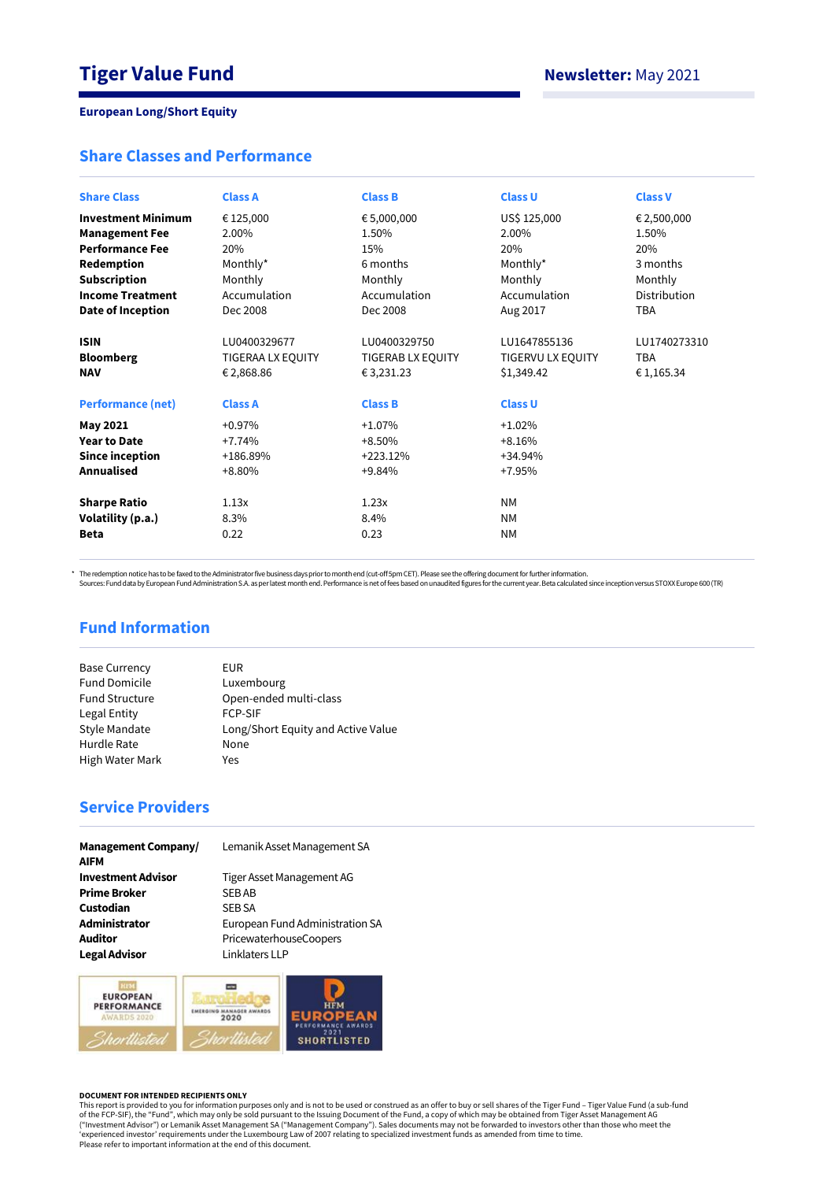# **Share Classes and Performance**

| <b>Share Class</b>                                                        | <b>Class A</b>                                                   | <b>Class B</b>                                                   | <b>Class U</b>                                                    | <b>Class V</b>                           |
|---------------------------------------------------------------------------|------------------------------------------------------------------|------------------------------------------------------------------|-------------------------------------------------------------------|------------------------------------------|
| <b>Investment Minimum</b>                                                 | € 125,000                                                        | € 5,000,000                                                      | US\$ 125,000                                                      | € 2,500,000                              |
| <b>Management Fee</b>                                                     | 2.00%                                                            | 1.50%                                                            | 2.00%                                                             | 1.50%                                    |
| <b>Performance Fee</b>                                                    | 20%                                                              | 15%                                                              | 20%                                                               | 20%                                      |
| Redemption                                                                | Monthly*                                                         | 6 months                                                         | Monthly*                                                          | 3 months                                 |
| <b>Subscription</b>                                                       | Monthly                                                          | Monthly                                                          | Monthly                                                           | Monthly                                  |
| <b>Income Treatment</b>                                                   | Accumulation                                                     | Accumulation                                                     | Accumulation                                                      | Distribution                             |
| Date of Inception                                                         | Dec 2008                                                         | Dec 2008                                                         | Aug 2017                                                          | <b>TBA</b>                               |
| <b>ISIN</b><br><b>Bloomberg</b><br><b>NAV</b><br><b>Performance (net)</b> | LU0400329677<br>TIGERAA LX EQUITY<br>€2,868.86<br><b>Class A</b> | LU0400329750<br>TIGERAB LX EQUITY<br>€3,231.23<br><b>Class B</b> | LU1647855136<br>TIGERVU LX EQUITY<br>\$1,349.42<br><b>Class U</b> | LU1740273310<br><b>TBA</b><br>€ 1,165.34 |
| May 2021                                                                  | $+0.97%$                                                         | $+1.07%$                                                         | $+1.02%$                                                          |                                          |
| <b>Year to Date</b>                                                       | $+7.74%$                                                         | $+8.50%$                                                         | $+8.16%$                                                          |                                          |
| <b>Since inception</b>                                                    | +186.89%                                                         | $+223.12%$                                                       | $+34.94%$                                                         |                                          |
| <b>Annualised</b>                                                         | $+8.80%$                                                         | $+9.84%$                                                         | +7.95%                                                            |                                          |
| <b>Sharpe Ratio</b>                                                       | 1.13x                                                            | 1.23x                                                            | <b>NM</b>                                                         |                                          |
| Volatility (p.a.)                                                         | 8.3%                                                             | 8.4%                                                             | <b>NM</b>                                                         |                                          |
| <b>Beta</b>                                                               | 0.22                                                             | 0.23                                                             | <b>NM</b>                                                         |                                          |

\* The redemption notice has to be faxed to the Administrator five business days prior to month end (cut-off 5pm CET). Please see the offering document for further information.<br>Sources: Fund data by European Fund Administra

# **Fund Information**

| EUR                                |
|------------------------------------|
| Luxembourg                         |
| Open-ended multi-class             |
| <b>FCP-SIF</b>                     |
| Long/Short Equity and Active Value |
| None                               |
| Yes                                |
|                                    |

# **Service Providers**

| <b>Management Company/</b><br><b>AIFM</b> | Lemanik Asset Management SA     |
|-------------------------------------------|---------------------------------|
| <b>Investment Advisor</b>                 | Tiger Asset Management AG       |
| <b>Prime Broker</b>                       | <b>SEBAB</b>                    |
| Custodian                                 | <b>SEB SA</b>                   |
| Administrator                             | European Fund Administration SA |
| <b>Auditor</b>                            | PricewaterhouseCoopers          |
| <b>Legal Advisor</b>                      | Linklaters LLP                  |



#### **DOCUMENT FOR INTENDED RECIPIENTS ONLY**

This report is provided to you for information purposes only and is not to be used or construed as an offer to buy or sell shares of the Tiger Fund – Tiger Value Fund (a sub-fund<br>of the FCP-SIF), the "Fund", which may only